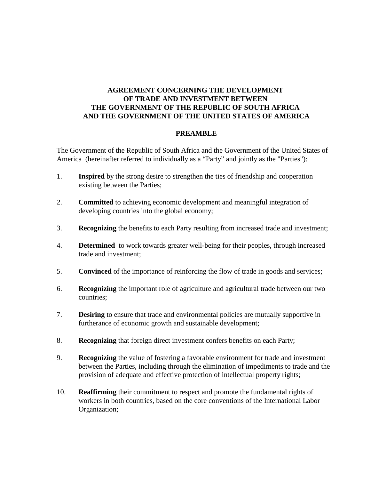# **AGREEMENT CONCERNING THE DEVELOPMENT OF TRADE AND INVESTMENT BETWEEN THE GOVERNMENT OF THE REPUBLIC OF SOUTH AFRICA AND THE GOVERNMENT OF THE UNITED STATES OF AMERICA**

#### **PREAMBLE**

The Government of the Republic of South Africa and the Government of the United States of America (hereinafter referred to individually as a "Party" and jointly as the "Parties"):

- 1. **Inspired** by the strong desire to strengthen the ties of friendship and cooperation existing between the Parties;
- 2. **Committed** to achieving economic development and meaningful integration of developing countries into the global economy;
- 3. **Recognizing** the benefits to each Party resulting from increased trade and investment;
- 4. **Determined** to work towards greater well-being for their peoples, through increased trade and investment;
- 5. **Convinced** of the importance of reinforcing the flow of trade in goods and services;
- 6. **Recognizing** the important role of agriculture and agricultural trade between our two countries;
- 7. **Desiring** to ensure that trade and environmental policies are mutually supportive in furtherance of economic growth and sustainable development;
- 8. **Recognizing** that foreign direct investment confers benefits on each Party;
- 9. **Recognizing** the value of fostering a favorable environment for trade and investment between the Parties, including through the elimination of impediments to trade and the provision of adequate and effective protection of intellectual property rights;
- 10. **Reaffirming** their commitment to respect and promote the fundamental rights of workers in both countries, based on the core conventions of the International Labor Organization;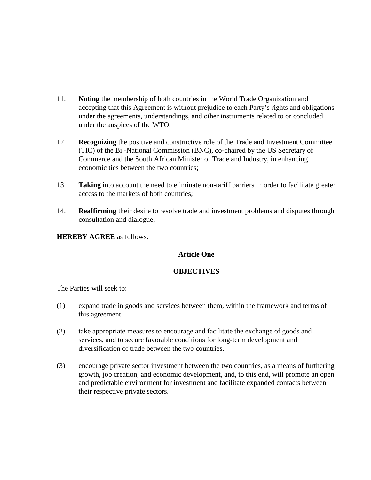- 11. **Noting** the membership of both countries in the World Trade Organization and accepting that this Agreement is without prejudice to each Party's rights and obligations under the agreements, understandings, and other instruments related to or concluded under the auspices of the WTO;
- 12. **Recognizing** the positive and constructive role of the Trade and Investment Committee (TIC) of the Bi -National Commission (BNC), co-chaired by the US Secretary of Commerce and the South African Minister of Trade and Industry, in enhancing economic ties between the two countries;
- 13. **Taking** into account the need to eliminate non-tariff barriers in order to facilitate greater access to the markets of both countries;
- 14. **Reaffirming** their desire to resolve trade and investment problems and disputes through consultation and dialogue;

# **HEREBY AGREE** as follows:

## **Article One**

# **OBJECTIVES**

The Parties will seek to:

- (1) expand trade in goods and services between them, within the framework and terms of this agreement.
- (2) take appropriate measures to encourage and facilitate the exchange of goods and services, and to secure favorable conditions for long-term development and diversification of trade between the two countries.
- (3) encourage private sector investment between the two countries, as a means of furthering growth, job creation, and economic development, and, to this end, will promote an open and predictable environment for investment and facilitate expanded contacts between their respective private sectors.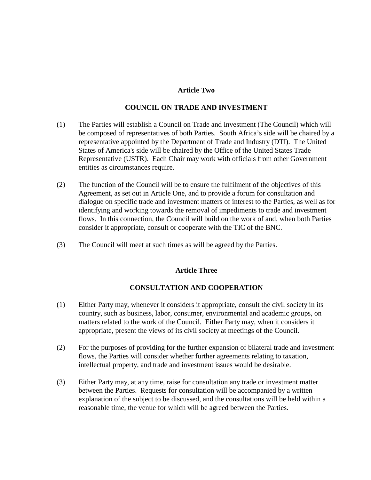# **Article Two**

#### **COUNCIL ON TRADE AND INVESTMENT**

- (1) The Parties will establish a Council on Trade and Investment (The Council) which will be composed of representatives of both Parties. South Africa's side will be chaired by a representative appointed by the Department of Trade and Industry (DTI). The United States of America's side will be chaired by the Office of the United States Trade Representative (USTR). Each Chair may work with officials from other Government entities as circumstances require.
- (2) The function of the Council will be to ensure the fulfilment of the objectives of this Agreement, as set out in Article One, and to provide a forum for consultation and dialogue on specific trade and investment matters of interest to the Parties, as well as for identifying and working towards the removal of impediments to trade and investment flows. In this connection, the Council will build on the work of and, when both Parties consider it appropriate, consult or cooperate with the TIC of the BNC.
- (3) The Council will meet at such times as will be agreed by the Parties.

## **Article Three**

## **CONSULTATION AND COOPERATION**

- (1) Either Party may, whenever it considers it appropriate, consult the civil society in its country, such as business, labor, consumer, environmental and academic groups, on matters related to the work of the Council. Either Party may, when it considers it appropriate, present the views of its civil society at meetings of the Council.
- (2) For the purposes of providing for the further expansion of bilateral trade and investment flows, the Parties will consider whether further agreements relating to taxation, intellectual property, and trade and investment issues would be desirable.
- (3) Either Party may, at any time, raise for consultation any trade or investment matter between the Parties. Requests for consultation will be accompanied by a written explanation of the subject to be discussed, and the consultations will be held within a reasonable time, the venue for which will be agreed between the Parties.